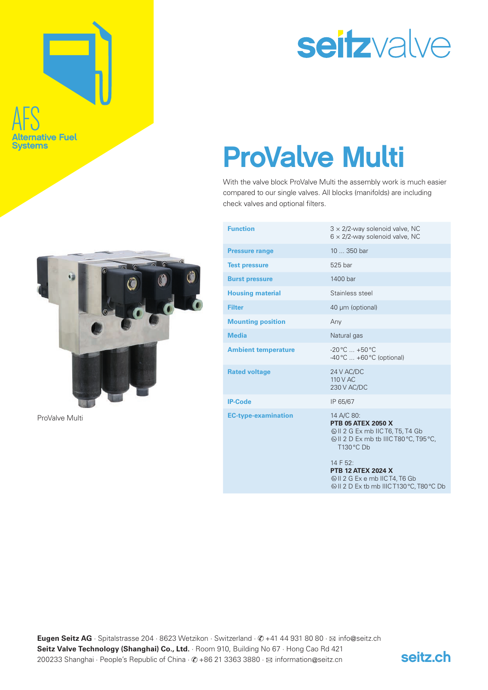# AFS **ative Fuel Systems**



ProValve Multi

# seitzvalve

## ProValve Multi

With the valve block ProValve Multi the assembly work is much easier compared to our single valves. All blocks (manifolds) are including check valves and optional filters.

| $3 \times 2/2$ -way solenoid valve, NC<br>$6 \times 2/2$ -way solenoid valve, NC                                                                                                                          |
|-----------------------------------------------------------------------------------------------------------------------------------------------------------------------------------------------------------|
| 10  350 bar                                                                                                                                                                                               |
| 525 bar                                                                                                                                                                                                   |
| 1400 bar                                                                                                                                                                                                  |
| Stainless steel                                                                                                                                                                                           |
| 40 µm (optional)                                                                                                                                                                                          |
| Any                                                                                                                                                                                                       |
| Natural gas                                                                                                                                                                                               |
| $-20\,^{\circ}\text{C}$ +50 $^{\circ}\text{C}$<br>$-40\degree$ C $+60\degree$ C (optional)                                                                                                                |
| 24 V AC/DC<br>110 V AC<br>230 V AC/DC                                                                                                                                                                     |
| IP 65/67                                                                                                                                                                                                  |
| 14 A/C 80:<br><b>PTB 05 ATEX 2050 X</b><br>12 G Ex mb IIC T6, T5, T4 Gb<br>ⓒ II 2 D Ex mb tb IIIC T80 °C, T95 °C,<br>T130 °C Db<br>14 F 52:<br><b>PTB 12 ATEX 2024 X</b><br>SII 2 G Ex e mb IIC T4, T6 Gb |
|                                                                                                                                                                                                           |